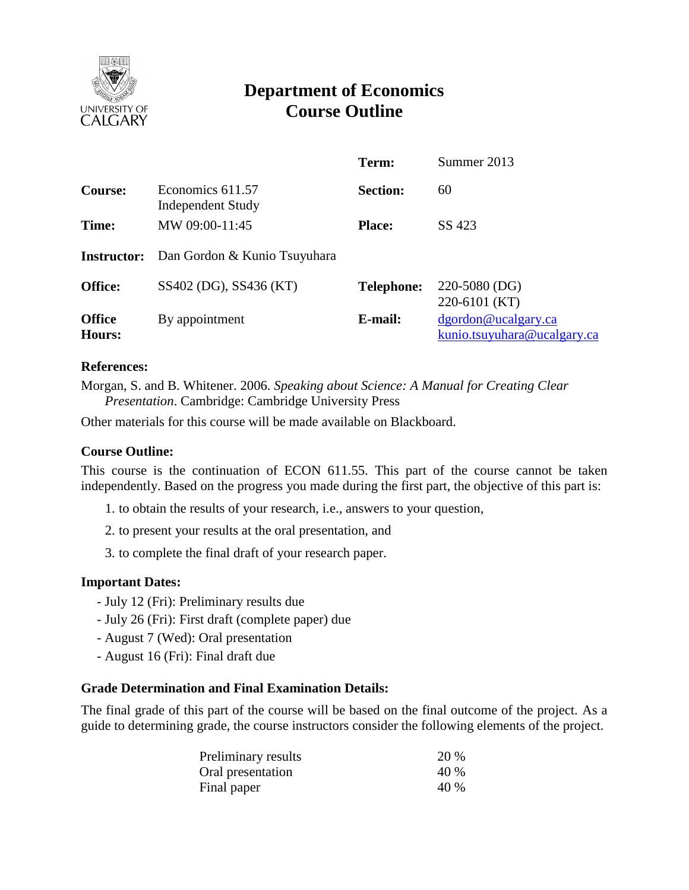

# **Department of Economics Course Outline**

|                                |                                       | Term:             | Summer 2013                                        |
|--------------------------------|---------------------------------------|-------------------|----------------------------------------------------|
| <b>Course:</b>                 | Economics 611.57<br>Independent Study | <b>Section:</b>   | 60                                                 |
| Time:                          | MW 09:00-11:45                        | <b>Place:</b>     | SS 423                                             |
| <b>Instructor:</b>             | Dan Gordon & Kunio Tsuyuhara          |                   |                                                    |
| Office:                        | SS402 (DG), SS436 (KT)                | <b>Telephone:</b> | 220-5080 (DG)<br>220-6101 (KT)                     |
| <b>Office</b><br><b>Hours:</b> | By appointment                        | E-mail:           | dgordon@ucalgary.ca<br>kunio.tsuyuhara@ucalgary.ca |

#### **References:**

Morgan, S. and B. Whitener. 2006. *Speaking about Science: A Manual for Creating Clear Presentation*. Cambridge: Cambridge University Press

Other materials for this course will be made available on Blackboard.

### **Course Outline:**

This course is the continuation of ECON 611.55. This part of the course cannot be taken independently. Based on the progress you made during the first part, the objective of this part is:

- 1. to obtain the results of your research, i.e., answers to your question,
- 2. to present your results at the oral presentation, and
- 3. to complete the final draft of your research paper.

### **Important Dates:**

- July 12 (Fri): Preliminary results due
- July 26 (Fri): First draft (complete paper) due
- August 7 (Wed): Oral presentation
- August 16 (Fri): Final draft due

## **Grade Determination and Final Examination Details:**

The final grade of this part of the course will be based on the final outcome of the project. As a guide to determining grade, the course instructors consider the following elements of the project.

| Preliminary results | 20 % |
|---------------------|------|
| Oral presentation   | 40 % |
| Final paper         | 40 % |